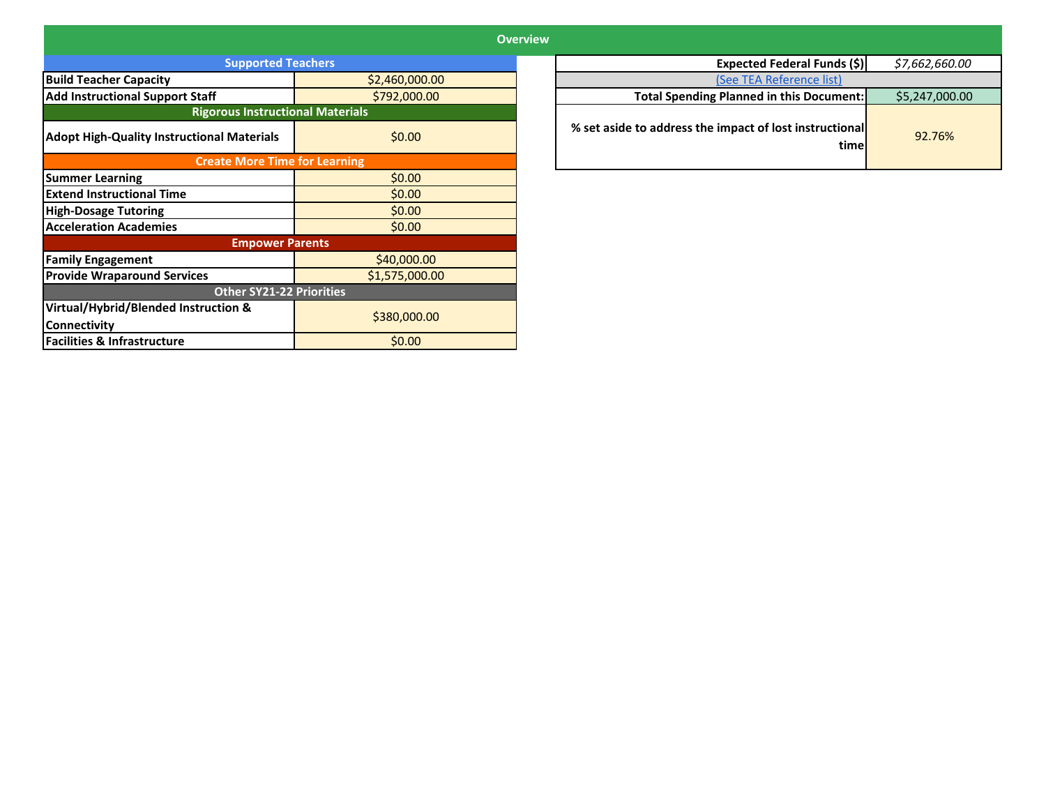|                                                   |                | <b>Overview</b> |                                                                 |                |  |
|---------------------------------------------------|----------------|-----------------|-----------------------------------------------------------------|----------------|--|
| <b>Supported Teachers</b>                         |                |                 | Expected Federal Funds (\$)                                     | \$7,662,660.00 |  |
| <b>Build Teacher Capacity</b><br>\$2,460,000.00   |                |                 | (See TEA Reference list)                                        |                |  |
| <b>Add Instructional Support Staff</b>            | \$792,000.00   |                 | Total Spending Planned in this Document:                        | \$5,247,000.00 |  |
| <b>Rigorous Instructional Materials</b>           |                |                 |                                                                 |                |  |
| <b>Adopt High-Quality Instructional Materials</b> | \$0.00         |                 | % set aside to address the impact of lost instructional<br>time | 92.76%         |  |
| <b>Create More Time for Learning</b>              |                |                 |                                                                 |                |  |
| <b>Summer Learning</b>                            | \$0.00         |                 |                                                                 |                |  |
| <b>Extend Instructional Time</b>                  | \$0.00         |                 |                                                                 |                |  |
| <b>High-Dosage Tutoring</b>                       | \$0.00         |                 |                                                                 |                |  |
| <b>Acceleration Academies</b>                     | \$0.00         |                 |                                                                 |                |  |
| <b>Empower Parents</b>                            |                |                 |                                                                 |                |  |
| <b>Family Engagement</b>                          | \$40,000.00    |                 |                                                                 |                |  |
| <b>Provide Wraparound Services</b>                | \$1,575,000.00 |                 |                                                                 |                |  |
| <b>Other SY21-22 Priorities</b>                   |                |                 |                                                                 |                |  |
| Virtual/Hybrid/Blended Instruction &              | \$380,000.00   |                 |                                                                 |                |  |
| <b>Connectivity</b>                               |                |                 |                                                                 |                |  |
| <b>Facilities &amp; Infrastructure</b>            | \$0.00         |                 |                                                                 |                |  |

| <b>Expected Federal Funds (\$).</b>                             | \$7,662,660.00 |
|-----------------------------------------------------------------|----------------|
| (See TEA Reference list)                                        |                |
| <b>Total Spending Planned in this Document:</b>                 | \$5,247,000.00 |
| % set aside to address the impact of lost instructional<br>time | 92.76%         |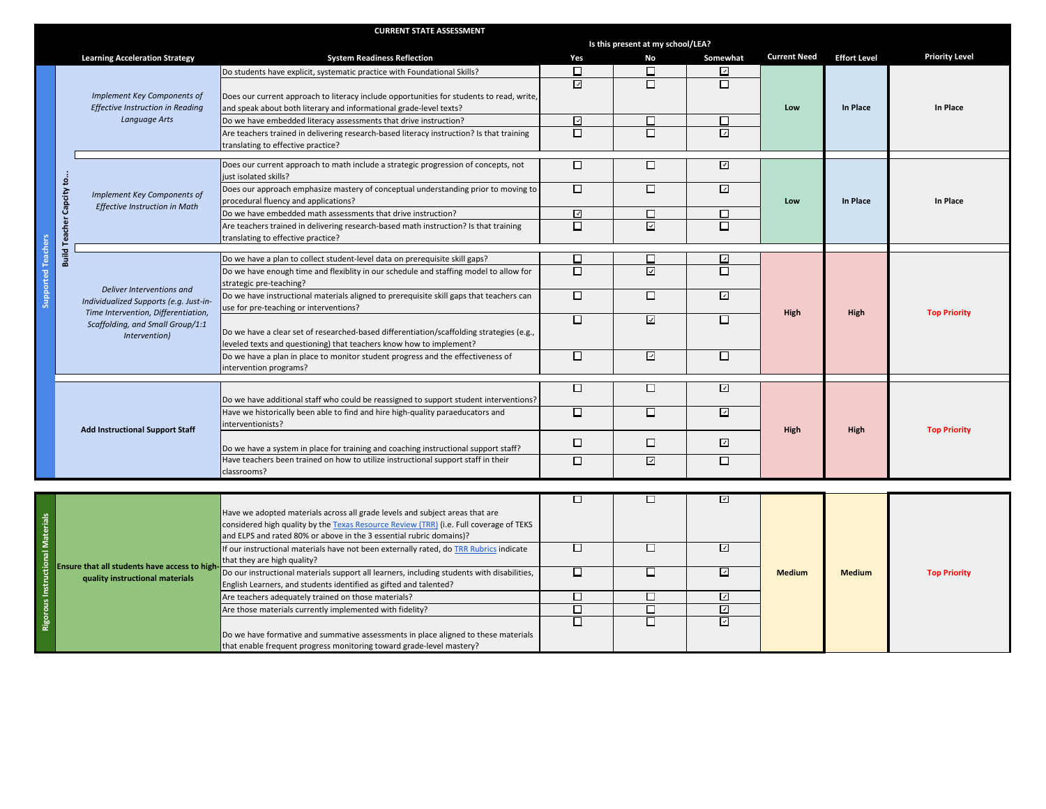|                     |                                                                                                                                    | <b>CURRENT STATE ASSESSMENT</b>                                                            |                |                                   |                          |                     |                     |                       |  |
|---------------------|------------------------------------------------------------------------------------------------------------------------------------|--------------------------------------------------------------------------------------------|----------------|-----------------------------------|--------------------------|---------------------|---------------------|-----------------------|--|
|                     |                                                                                                                                    |                                                                                            |                | Is this present at my school/LEA? |                          |                     |                     |                       |  |
|                     | <b>Learning Acceleration Strategy</b>                                                                                              | <b>System Readiness Reflection</b>                                                         | Yes            | No                                | Somewhat                 | <b>Current Need</b> | <b>Effort Level</b> | <b>Priority Level</b> |  |
|                     |                                                                                                                                    | Do students have explicit, systematic practice with Foundational Skills?                   | □              | □                                 | $\checkmark$             |                     |                     |                       |  |
|                     |                                                                                                                                    |                                                                                            | $\overline{v}$ | $\Box$                            | $\Box$                   |                     |                     |                       |  |
|                     | Implement Key Components of                                                                                                        | Does our current approach to literacy include opportunities for students to read, write,   |                |                                   |                          |                     |                     |                       |  |
|                     | <b>Effective Instruction in Reading</b>                                                                                            | and speak about both literary and informational grade-level texts?                         |                |                                   |                          | Low                 | In Place            | In Place              |  |
|                     | Language Arts                                                                                                                      | Do we have embedded literacy assessments that drive instruction?                           | ☑              | П                                 | □                        |                     |                     |                       |  |
|                     |                                                                                                                                    | Are teachers trained in delivering research-based literacy instruction? Is that training   | $\Box$         | □                                 | $\overline{a}$           |                     |                     |                       |  |
|                     |                                                                                                                                    | translating to effective practice?                                                         |                |                                   |                          |                     |                     |                       |  |
|                     |                                                                                                                                    |                                                                                            |                |                                   |                          |                     |                     |                       |  |
|                     |                                                                                                                                    | Does our current approach to math include a strategic progression of concepts, not         | $\Box$         | □                                 | $\overline{\leq}$        |                     |                     |                       |  |
|                     |                                                                                                                                    | just isolated skills?                                                                      |                |                                   |                          |                     |                     |                       |  |
|                     | Implement Key Components of                                                                                                        | Does our approach emphasize mastery of conceptual understanding prior to moving to         | $\Box$         | □                                 | $\overline{\mathcal{L}}$ |                     |                     |                       |  |
|                     | Capcity to.<br><b>Effective Instruction in Math</b>                                                                                | procedural fluency and applications?                                                       | ☑              | □                                 | □                        | Low                 | In Place            | In Place              |  |
|                     |                                                                                                                                    | Do we have embedded math assessments that drive instruction?                               | $\Box$         | $\overline{\mathcal{L}}$          | $\Box$                   |                     |                     |                       |  |
|                     | <b>Build Teacher</b>                                                                                                               | Are teachers trained in delivering research-based math instruction? Is that training       |                |                                   |                          |                     |                     |                       |  |
|                     |                                                                                                                                    | translating to effective practice?                                                         |                |                                   |                          |                     |                     |                       |  |
| Supported Teachers  |                                                                                                                                    | Do we have a plan to collect student-level data on prerequisite skill gaps?                | □              | □                                 | ⊡                        |                     |                     |                       |  |
|                     |                                                                                                                                    | Do we have enough time and flexiblity in our schedule and staffing model to allow for      | П              | ☑                                 | $\Box$                   |                     |                     |                       |  |
|                     |                                                                                                                                    | strategic pre-teaching?                                                                    |                |                                   |                          |                     | High                | <b>Top Priority</b>   |  |
|                     | Deliver Interventions and                                                                                                          | Do we have instructional materials aligned to prerequisite skill gaps that teachers can    | $\Box$         | $\Box$                            | $\overline{\mathcal{L}}$ |                     |                     |                       |  |
|                     | Individualized Supports (e.g. Just-in-<br>Time Intervention, Differentiation,<br>Scaffolding, and Small Group/1:1<br>Intervention) | use for pre-teaching or interventions?                                                     |                |                                   |                          | High                |                     |                       |  |
|                     |                                                                                                                                    |                                                                                            | □              | ⊡                                 | □                        |                     |                     |                       |  |
|                     |                                                                                                                                    | Do we have a clear set of researched-based differentiation/scaffolding strategies (e.g.,   |                |                                   |                          |                     |                     |                       |  |
|                     |                                                                                                                                    | leveled texts and questioning) that teachers know how to implement?                        |                |                                   |                          |                     |                     |                       |  |
|                     |                                                                                                                                    | Do we have a plan in place to monitor student progress and the effectiveness of            | □              | ☑                                 | □                        |                     |                     |                       |  |
|                     |                                                                                                                                    | intervention programs?                                                                     |                |                                   |                          |                     |                     |                       |  |
|                     |                                                                                                                                    |                                                                                            | □              | $\Box$                            | $\overline{\mathcal{L}}$ |                     |                     |                       |  |
|                     |                                                                                                                                    | Do we have additional staff who could be reassigned to support student interventions?      |                |                                   |                          |                     |                     |                       |  |
|                     |                                                                                                                                    | Have we historically been able to find and hire high-quality paraeducators and             | □              | □                                 | $\overline{\mathcal{L}}$ |                     |                     |                       |  |
|                     |                                                                                                                                    | interventionists?                                                                          |                |                                   |                          |                     |                     |                       |  |
|                     | <b>Add Instructional Support Staff</b>                                                                                             |                                                                                            |                |                                   |                          | High                | High                | <b>Top Priority</b>   |  |
|                     |                                                                                                                                    | Do we have a system in place for training and coaching instructional support staff?        | □              | $\Box$                            | ⊡                        |                     |                     |                       |  |
|                     |                                                                                                                                    | Have teachers been trained on how to utilize instructional support staff in their          | □              | ☑                                 | □                        |                     |                     |                       |  |
|                     |                                                                                                                                    | classrooms?                                                                                |                |                                   |                          |                     |                     |                       |  |
|                     |                                                                                                                                    |                                                                                            |                |                                   |                          |                     |                     |                       |  |
|                     |                                                                                                                                    |                                                                                            | □              | □                                 | ☑                        |                     |                     |                       |  |
|                     |                                                                                                                                    | Have we adopted materials across all grade levels and subject areas that are               |                |                                   |                          |                     |                     |                       |  |
|                     |                                                                                                                                    | considered high quality by the Texas Resource Review (TRR) (i.e. Full coverage of TEKS     |                |                                   |                          |                     |                     |                       |  |
|                     |                                                                                                                                    | and ELPS and rated 80% or above in the 3 essential rubric domains)?                        |                |                                   |                          |                     |                     |                       |  |
|                     |                                                                                                                                    | If our instructional materials have not been externally rated, do TRR Rubrics indicate     | □              | □                                 | $\overline{\mathcal{L}}$ |                     |                     |                       |  |
|                     | Ensure that all students have access to high                                                                                       | that they are high quality?                                                                |                |                                   |                          |                     |                     |                       |  |
|                     | quality instructional materials                                                                                                    | Do our instructional materials support all learners, including students with disabilities, | □              | □                                 | $\overline{\mathcal{L}}$ | <b>Medium</b>       | <b>Medium</b>       | <b>Top Priority</b>   |  |
|                     |                                                                                                                                    | English Learners, and students identified as gifted and talented?                          |                |                                   |                          |                     |                     |                       |  |
|                     |                                                                                                                                    | Are teachers adequately trained on those materials?                                        | □              | □                                 | $\overline{\mathcal{L}}$ |                     |                     |                       |  |
|                     |                                                                                                                                    | Are those materials currently implemented with fidelity?                                   | $\Box$         | □                                 | $\overline{\mathcal{L}}$ |                     |                     |                       |  |
| Rigorous Instructio |                                                                                                                                    |                                                                                            | П              | П                                 | $\overline{\phantom{0}}$ |                     |                     |                       |  |
|                     |                                                                                                                                    | Do we have formative and summative assessments in place aligned to these materials         |                |                                   |                          |                     |                     |                       |  |
|                     |                                                                                                                                    | that enable frequent progress monitoring toward grade-level mastery?                       |                |                                   |                          |                     |                     |                       |  |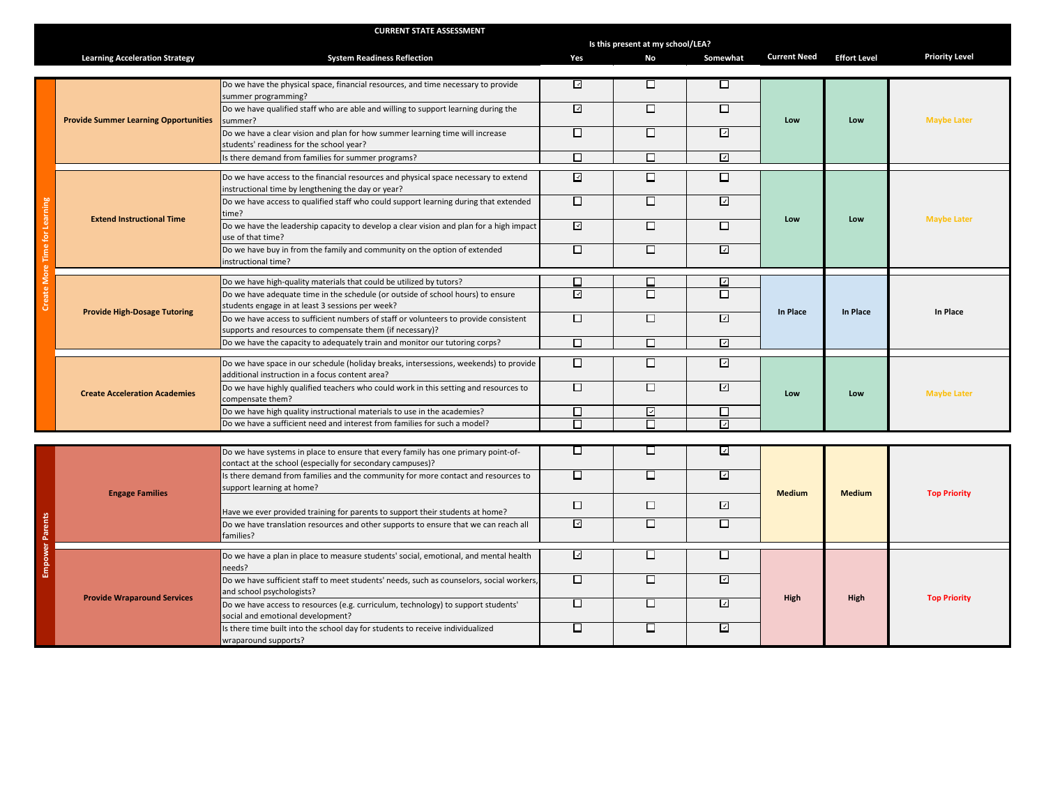|                        |                                              | <b>CURRENT STATE ASSESSMENT</b>                                                                                                                     |                          |        |                          |                                |                     |                       |                    |  |  |
|------------------------|----------------------------------------------|-----------------------------------------------------------------------------------------------------------------------------------------------------|--------------------------|--------|--------------------------|--------------------------------|---------------------|-----------------------|--------------------|--|--|
|                        |                                              | Is this present at my school/LEA?                                                                                                                   |                          |        |                          |                                |                     |                       |                    |  |  |
|                        | <b>Learning Acceleration Strategy</b>        | <b>System Readiness Reflection</b>                                                                                                                  | Yes                      | No     | Somewhat                 | <b>Current Need</b>            | <b>Effort Level</b> | <b>Priority Level</b> |                    |  |  |
|                        |                                              |                                                                                                                                                     |                          |        |                          |                                |                     |                       |                    |  |  |
|                        | <b>Provide Summer Learning Opportunities</b> | Do we have the physical space, financial resources, and time necessary to provide<br>summer programming?                                            | $\overline{L}$           | □      | □                        |                                |                     |                       |                    |  |  |
|                        |                                              | Do we have qualified staff who are able and willing to support learning during the<br>summer?                                                       | $\overline{\mathcal{L}}$ | □      | □                        | Low                            | Low                 | <b>Maybe Later</b>    |                    |  |  |
|                        |                                              | Do we have a clear vision and plan for how summer learning time will increase<br>students' readiness for the school year?                           | $\Box$                   | П      | $\overline{ }$           |                                |                     |                       |                    |  |  |
|                        |                                              | Is there demand from families for summer programs?                                                                                                  | $\Box$                   | □      | $\overline{\mathcal{L}}$ |                                |                     |                       |                    |  |  |
|                        |                                              | Do we have access to the financial resources and physical space necessary to extend                                                                 | $\overline{\mathcal{L}}$ | □      | □                        |                                | Low<br>Low          |                       |                    |  |  |
|                        |                                              | instructional time by lengthening the day or year?<br>Do we have access to qualified staff who could support learning during that extended<br>time? | □                        | $\Box$ | $\overline{\mathcal{L}}$ |                                |                     | <b>Maybe Later</b>    |                    |  |  |
| me for Learning        | <b>Extend Instructional Time</b>             | Do we have the leadership capacity to develop a clear vision and plan for a high impact<br>use of that time?                                        | $\overline{\mathcal{L}}$ | □      | □                        |                                |                     |                       |                    |  |  |
|                        |                                              | Do we have buy in from the family and community on the option of extended<br>instructional time?                                                    | $\Box$                   | □      | $\overline{z}$           |                                |                     |                       |                    |  |  |
|                        |                                              | Do we have high-quality materials that could be utilized by tutors?                                                                                 | □                        | □      | ☑                        |                                |                     |                       |                    |  |  |
| ð                      | <b>Provide High-Dosage Tutoring</b>          | Do we have adequate time in the schedule (or outside of school hours) to ensure<br>students engage in at least 3 sessions per week?                 | $\sqrt{ }$               | $\Box$ | $\Box$                   |                                | In Place            | In Place              |                    |  |  |
|                        |                                              | Do we have access to sufficient numbers of staff or volunteers to provide consistent<br>supports and resources to compensate them (if necessary)?   | $\Box$                   | $\Box$ | ⊡                        | In Place                       |                     |                       |                    |  |  |
|                        |                                              | Do we have the capacity to adequately train and monitor our tutoring corps?                                                                         | $\Box$                   | □      | ☑                        |                                |                     |                       |                    |  |  |
|                        | <b>Create Acceleration Academies</b>         | Do we have space in our schedule (holiday breaks, intersessions, weekends) to provide<br>additional instruction in a focus content area?            | $\Box$                   | □      | $\overline{\mathcal{L}}$ | Low                            |                     |                       |                    |  |  |
|                        |                                              | Do we have highly qualified teachers who could work in this setting and resources to<br>compensate them?                                            | $\Box$                   | $\Box$ | ☑                        |                                | Low                 |                       | <b>Maybe Later</b> |  |  |
|                        |                                              | Do we have high quality instructional materials to use in the academies?                                                                            | п                        | ☑      | □                        |                                |                     |                       |                    |  |  |
|                        |                                              | Do we have a sufficient need and interest from families for such a model?                                                                           |                          | П      | $\checkmark$             |                                |                     |                       |                    |  |  |
|                        |                                              |                                                                                                                                                     |                          |        |                          |                                |                     |                       |                    |  |  |
|                        |                                              | Do we have systems in place to ensure that every family has one primary point-of-<br>contact at the school (especially for secondary campuses)?     | □                        | □      | $\overline{z}$           |                                |                     | <b>Top Priority</b>   |                    |  |  |
|                        | <b>Engage Families</b>                       | Is there demand from families and the community for more contact and resources to<br>support learning at home?                                      | □                        | □      | $\overline{\mathcal{L}}$ | <b>Medium</b><br><b>Medium</b> |                     |                       |                    |  |  |
|                        |                                              | Have we ever provided training for parents to support their students at home?                                                                       | $\Box$                   | $\Box$ | $\overline{\mathbf{r}}$  |                                |                     |                       |                    |  |  |
| <b>Empower Parents</b> |                                              | Do we have translation resources and other supports to ensure that we can reach all<br>families?                                                    | ⊡                        | □      | □                        |                                |                     |                       |                    |  |  |
|                        |                                              | Do we have a plan in place to measure students' social, emotional, and mental health                                                                | ☑                        | □      | □                        |                                |                     |                       |                    |  |  |
|                        |                                              | needs?                                                                                                                                              | □                        | □      | ☑                        |                                |                     |                       |                    |  |  |
|                        | <b>Provide Wraparound Services</b>           | Do we have sufficient staff to meet students' needs, such as counselors, social workers,<br>and school psychologists?                               |                          |        |                          | High                           | High                | <b>Top Priority</b>   |                    |  |  |
|                        |                                              | Do we have access to resources (e.g. curriculum, technology) to support students'<br>social and emotional development?                              | $\Box$                   | $\Box$ | $\overline{\mathcal{L}}$ |                                |                     |                       |                    |  |  |
|                        |                                              | Is there time built into the school day for students to receive individualized<br>wraparound supports?                                              | □                        | □      | $\overline{\mathcal{L}}$ |                                |                     |                       |                    |  |  |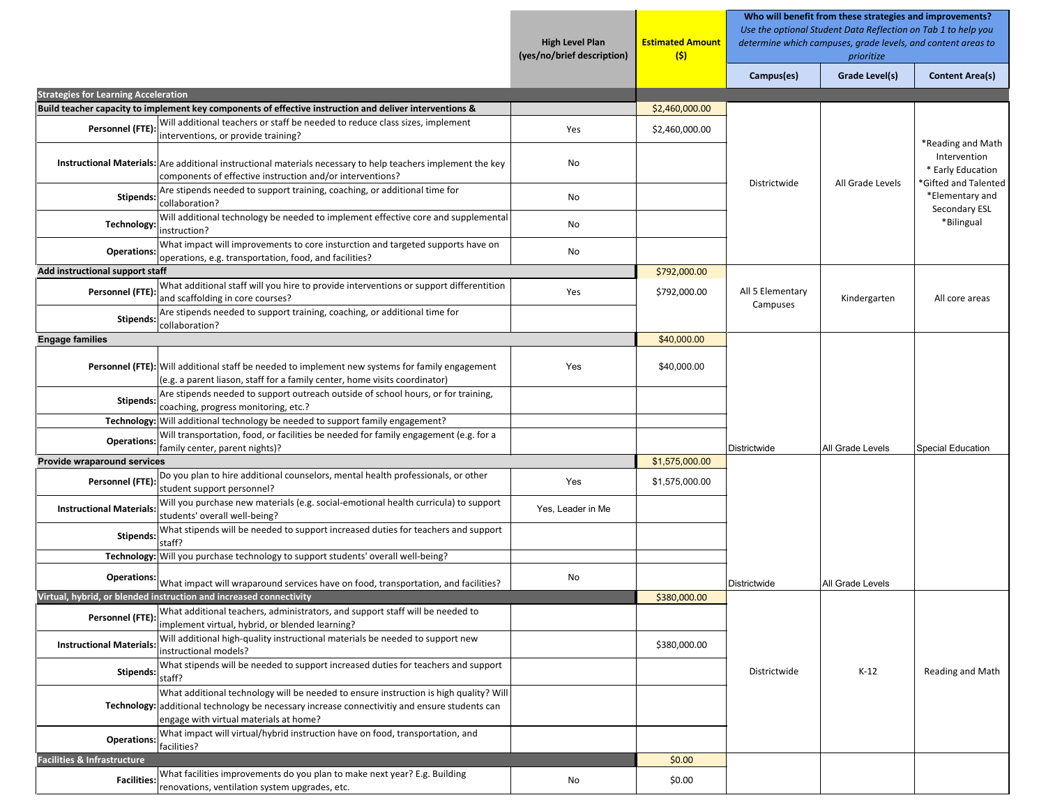|                                             |                                                                                                                                                                                                                                  |                   | <b>Estimated Amount</b><br>(\$) | Who will benefit from these strategies and improvements?<br>Use the optional Student Data Reflection on Tab 1 to help you<br>determine which campuses, grade levels, and content areas to<br>prioritize |                  |                                                          |  |
|---------------------------------------------|----------------------------------------------------------------------------------------------------------------------------------------------------------------------------------------------------------------------------------|-------------------|---------------------------------|---------------------------------------------------------------------------------------------------------------------------------------------------------------------------------------------------------|------------------|----------------------------------------------------------|--|
|                                             |                                                                                                                                                                                                                                  |                   |                                 | Campus(es)                                                                                                                                                                                              | Grade Level(s)   | <b>Content Area(s)</b>                                   |  |
| <b>Strategies for Learning Acceleration</b> |                                                                                                                                                                                                                                  |                   |                                 |                                                                                                                                                                                                         |                  |                                                          |  |
|                                             | Build teacher capacity to implement key components of effective instruction and deliver interventions &                                                                                                                          |                   | \$2,460,000.00                  |                                                                                                                                                                                                         |                  |                                                          |  |
| Personnel (FTE):                            | Will additional teachers or staff be needed to reduce class sizes, implement<br>interventions, or provide training?                                                                                                              | Yes               | \$2,460,000.00                  |                                                                                                                                                                                                         |                  | *Reading and Math                                        |  |
|                                             | Instructional Materials: Are additional instructional materials necessary to help teachers implement the key<br>components of effective instruction and/or interventions?                                                        | No                |                                 | Districtwide                                                                                                                                                                                            | All Grade Levels | Intervention<br>* Early Education<br>Gifted and Talented |  |
| Stipends:                                   | Are stipends needed to support training, coaching, or additional time for<br>collaboration?                                                                                                                                      | No                |                                 |                                                                                                                                                                                                         |                  | *Elementary and<br>Secondary ESL                         |  |
| Technology:                                 | Will additional technology be needed to implement effective core and supplemental<br>instruction?                                                                                                                                | No                |                                 |                                                                                                                                                                                                         |                  | *Bilingual                                               |  |
| <b>Operations:</b>                          | What impact will improvements to core insturction and targeted supports have on<br>operations, e.g. transportation, food, and facilities?                                                                                        | No                |                                 |                                                                                                                                                                                                         |                  |                                                          |  |
| Add instructional support staff             |                                                                                                                                                                                                                                  |                   | \$792,000.00                    |                                                                                                                                                                                                         |                  |                                                          |  |
| Personnel (FTE):                            | What additional staff will you hire to provide interventions or support differentition<br>and scaffolding in core courses?                                                                                                       | Yes               | \$792,000.00                    | All 5 Elementary<br>Campuses                                                                                                                                                                            | Kindergarten     | All core areas                                           |  |
| Stipends:                                   | Are stipends needed to support training, coaching, or additional time for<br>collaboration?                                                                                                                                      |                   |                                 |                                                                                                                                                                                                         |                  |                                                          |  |
| <b>Engage families</b>                      |                                                                                                                                                                                                                                  |                   | \$40,000.00                     |                                                                                                                                                                                                         |                  |                                                          |  |
|                                             | <b>Personnel (FTE):</b> Will additional staff be needed to implement new systems for family engagement<br>(e.g. a parent liason, staff for a family center, home visits coordinator)                                             | Yes               | \$40,000.00                     |                                                                                                                                                                                                         |                  |                                                          |  |
| Stipends:                                   | Are stipends needed to support outreach outside of school hours, or for training,<br>coaching, progress monitoring, etc.?                                                                                                        |                   |                                 |                                                                                                                                                                                                         |                  |                                                          |  |
|                                             | Technology: Will additional technology be needed to support family engagement?                                                                                                                                                   |                   |                                 |                                                                                                                                                                                                         |                  |                                                          |  |
| <b>Operations:</b>                          | Will transportation, food, or facilities be needed for family engagement (e.g. for a<br>family center, parent nights)?                                                                                                           |                   |                                 | Districtwide                                                                                                                                                                                            | All Grade Levels | Special Education                                        |  |
| Provide wraparound services                 |                                                                                                                                                                                                                                  |                   | \$1,575,000.00                  |                                                                                                                                                                                                         |                  |                                                          |  |
| Personnel (FTE):                            | Do you plan to hire additional counselors, mental health professionals, or other<br>student support personnel?                                                                                                                   | Yes               | \$1,575,000.00                  |                                                                                                                                                                                                         |                  |                                                          |  |
| <b>Instructional Materials:</b>             | Will you purchase new materials (e.g. social-emotional health curricula) to support<br>students' overall well-being?                                                                                                             | Yes, Leader in Me |                                 |                                                                                                                                                                                                         |                  |                                                          |  |
| Stipends:                                   | What stipends will be needed to support increased duties for teachers and support<br>staff?                                                                                                                                      |                   |                                 |                                                                                                                                                                                                         |                  |                                                          |  |
|                                             | Technology: Will you purchase technology to support students' overall well-being?                                                                                                                                                |                   |                                 |                                                                                                                                                                                                         |                  |                                                          |  |
| <b>Operations:</b>                          | What impact will wraparound services have on food, transportation, and facilities?                                                                                                                                               | No                |                                 | Districtwide                                                                                                                                                                                            | All Grade Levels |                                                          |  |
|                                             | Virtual, hybrid, or blended instruction and increased connectivity                                                                                                                                                               |                   | \$380,000.00                    |                                                                                                                                                                                                         |                  |                                                          |  |
| Personnel (FTE):                            | What additional teachers, administrators, and support staff will be needed to<br>implement virtual, hybrid, or blended learning?                                                                                                 |                   |                                 |                                                                                                                                                                                                         |                  |                                                          |  |
| <b>Instructional Materials</b>              | Will additional high-quality instructional materials be needed to support new<br>instructional models?                                                                                                                           |                   | \$380,000.00                    |                                                                                                                                                                                                         |                  |                                                          |  |
| Stipends:                                   | What stipends will be needed to support increased duties for teachers and support<br>staff?                                                                                                                                      |                   |                                 | Districtwide                                                                                                                                                                                            | $K-12$           | Reading and Math                                         |  |
|                                             | What additional technology will be needed to ensure instruction is high quality? Will<br>Technology: additional technology be necessary increase connectivitiy and ensure students can<br>engage with virtual materials at home? |                   |                                 |                                                                                                                                                                                                         |                  |                                                          |  |
| <b>Operations:</b>                          | What impact will virtual/hybrid instruction have on food, transportation, and<br>facilities?                                                                                                                                     |                   |                                 |                                                                                                                                                                                                         |                  |                                                          |  |
| Facilities & Infrastructure                 |                                                                                                                                                                                                                                  |                   | \$0.00                          |                                                                                                                                                                                                         |                  |                                                          |  |
|                                             | Facilities: What facilities improvements do you plan to make next year? E.g. Building<br>renovations, ventilation system upgrades, etc.                                                                                          | No                | \$0.00                          |                                                                                                                                                                                                         |                  |                                                          |  |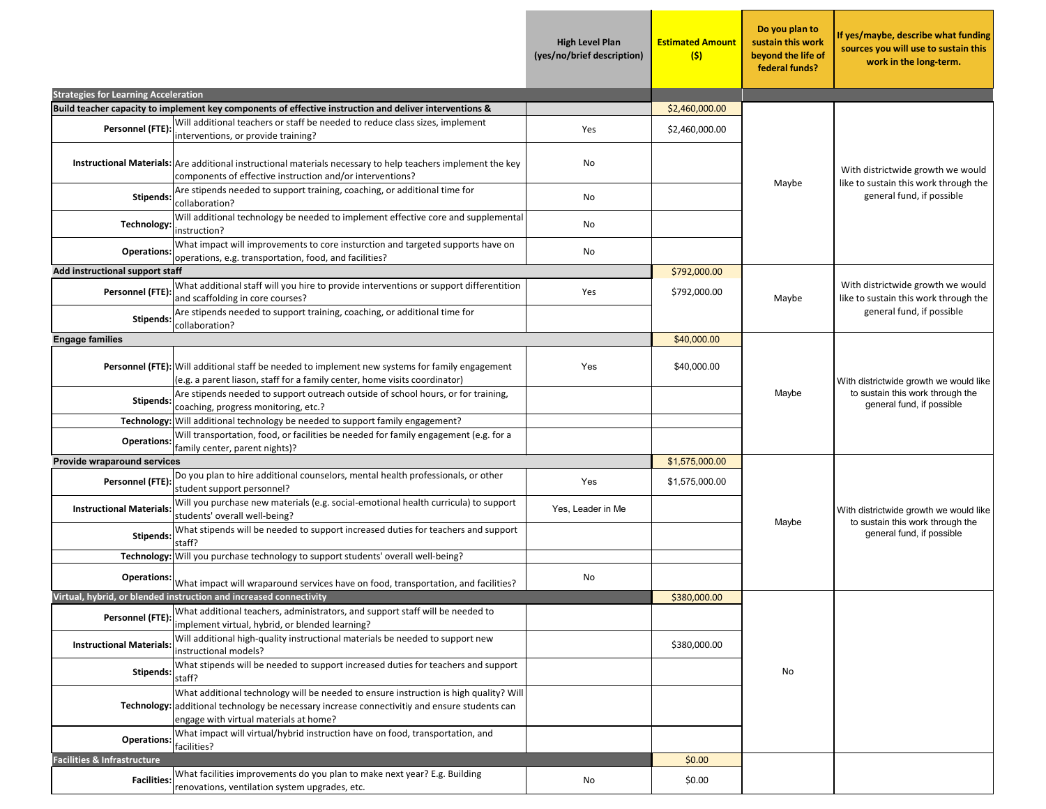| <b>Strategies for Learning Acceleration</b> |                                                                                                                                                                                                                                  | <b>High Level Plan</b><br>(yes/no/brief description) | <b>Estimated Amount</b><br>(s) | Do you plan to<br>sustain this work<br>beyond the life of<br>federal funds? | If yes/maybe, describe what funding<br>sources you will use to sustain this<br>work in the long-term.   |
|---------------------------------------------|----------------------------------------------------------------------------------------------------------------------------------------------------------------------------------------------------------------------------------|------------------------------------------------------|--------------------------------|-----------------------------------------------------------------------------|---------------------------------------------------------------------------------------------------------|
|                                             | Build teacher capacity to implement key components of effective instruction and deliver interventions &                                                                                                                          |                                                      | \$2,460,000.00                 |                                                                             |                                                                                                         |
|                                             | Will additional teachers or staff be needed to reduce class sizes, implement                                                                                                                                                     |                                                      |                                |                                                                             |                                                                                                         |
| Personnel (FTE):                            | interventions, or provide training?                                                                                                                                                                                              | Yes                                                  | \$2,460,000.00                 |                                                                             |                                                                                                         |
|                                             | Instructional Materials: Are additional instructional materials necessary to help teachers implement the key<br>components of effective instruction and/or interventions?                                                        | No                                                   |                                | Maybe                                                                       | With districtwide growth we would<br>like to sustain this work through the                              |
| Stipends:                                   | Are stipends needed to support training, coaching, or additional time for<br>collaboration?                                                                                                                                      | No                                                   |                                |                                                                             | general fund, if possible                                                                               |
| Technology:                                 | Will additional technology be needed to implement effective core and supplemental<br>instruction?                                                                                                                                | No                                                   |                                |                                                                             |                                                                                                         |
| <b>Operations:</b>                          | What impact will improvements to core insturction and targeted supports have on<br>operations, e.g. transportation, food, and facilities?                                                                                        | No                                                   |                                |                                                                             |                                                                                                         |
| Add instructional support staff             |                                                                                                                                                                                                                                  |                                                      | \$792,000.00                   |                                                                             |                                                                                                         |
| Personnel (FTE):                            | What additional staff will you hire to provide interventions or support differentition<br>and scaffolding in core courses?                                                                                                       | Yes                                                  | \$792,000.00                   | Maybe                                                                       | With districtwide growth we would<br>like to sustain this work through the                              |
| <b>Stipends:</b>                            | Are stipends needed to support training, coaching, or additional time for<br>collaboration?                                                                                                                                      |                                                      |                                |                                                                             | general fund, if possible                                                                               |
| <b>Engage families</b>                      |                                                                                                                                                                                                                                  |                                                      | \$40,000.00                    |                                                                             |                                                                                                         |
|                                             | Personnel (FTE): Will additional staff be needed to implement new systems for family engagement<br>(e.g. a parent liason, staff for a family center, home visits coordinator)                                                    | Yes                                                  | \$40,000.00                    |                                                                             | With districtwide growth we would like<br>to sustain this work through the<br>general fund, if possible |
| <b>Stipends:</b>                            | Are stipends needed to support outreach outside of school hours, or for training,<br>coaching, progress monitoring, etc.?                                                                                                        |                                                      |                                | Maybe                                                                       |                                                                                                         |
|                                             | Technology: Will additional technology be needed to support family engagement?                                                                                                                                                   |                                                      |                                |                                                                             |                                                                                                         |
| <b>Operations:</b>                          | Will transportation, food, or facilities be needed for family engagement (e.g. for a<br>family center, parent nights)?                                                                                                           |                                                      |                                |                                                                             |                                                                                                         |
| Provide wraparound services                 |                                                                                                                                                                                                                                  |                                                      | \$1,575,000.00                 |                                                                             |                                                                                                         |
| Personnel (FTE):                            | Do you plan to hire additional counselors, mental health professionals, or other<br>student support personnel?                                                                                                                   | Yes                                                  | \$1,575,000.00                 |                                                                             |                                                                                                         |
| <b>Instructional Materials:</b>             | Will you purchase new materials (e.g. social-emotional health curricula) to support<br>students' overall well-being?                                                                                                             | Yes, Leader in Me                                    |                                |                                                                             | With districtwide growth we would like<br>to sustain this work through the                              |
| <b>Stipends:</b>                            | What stipends will be needed to support increased duties for teachers and support<br>staff?                                                                                                                                      |                                                      |                                | Maybe                                                                       | general fund, if possible                                                                               |
|                                             | Technology: Will you purchase technology to support students' overall well-being?                                                                                                                                                |                                                      |                                |                                                                             |                                                                                                         |
| <b>Operations:</b>                          | What impact will wraparound services have on food, transportation, and facilities?                                                                                                                                               | No                                                   |                                |                                                                             |                                                                                                         |
|                                             | Virtual, hybrid, or blended instruction and increased connectivity                                                                                                                                                               |                                                      | \$380,000.00                   |                                                                             |                                                                                                         |
| Personnel (FTE):                            | What additional teachers, administrators, and support staff will be needed to<br>implement virtual, hybrid, or blended learning?                                                                                                 |                                                      |                                |                                                                             |                                                                                                         |
| <b>Instructional Materials:</b>             | Will additional high-quality instructional materials be needed to support new<br>instructional models?                                                                                                                           |                                                      | \$380,000.00                   |                                                                             |                                                                                                         |
| <b>Stipends:</b>                            | What stipends will be needed to support increased duties for teachers and support<br>staff?                                                                                                                                      |                                                      |                                | No                                                                          |                                                                                                         |
|                                             | What additional technology will be needed to ensure instruction is high quality? Will<br>Technology: additional technology be necessary increase connectivitiy and ensure students can<br>engage with virtual materials at home? |                                                      |                                |                                                                             |                                                                                                         |
| <b>Operations:</b>                          | What impact will virtual/hybrid instruction have on food, transportation, and<br>facilities?                                                                                                                                     |                                                      |                                |                                                                             |                                                                                                         |
| <b>Facilities &amp; Infrastructure</b>      |                                                                                                                                                                                                                                  |                                                      | \$0.00                         |                                                                             |                                                                                                         |
| <b>Facilities:</b>                          | What facilities improvements do you plan to make next year? E.g. Building<br>renovations, ventilation system upgrades, etc.                                                                                                      | No                                                   | \$0.00                         |                                                                             |                                                                                                         |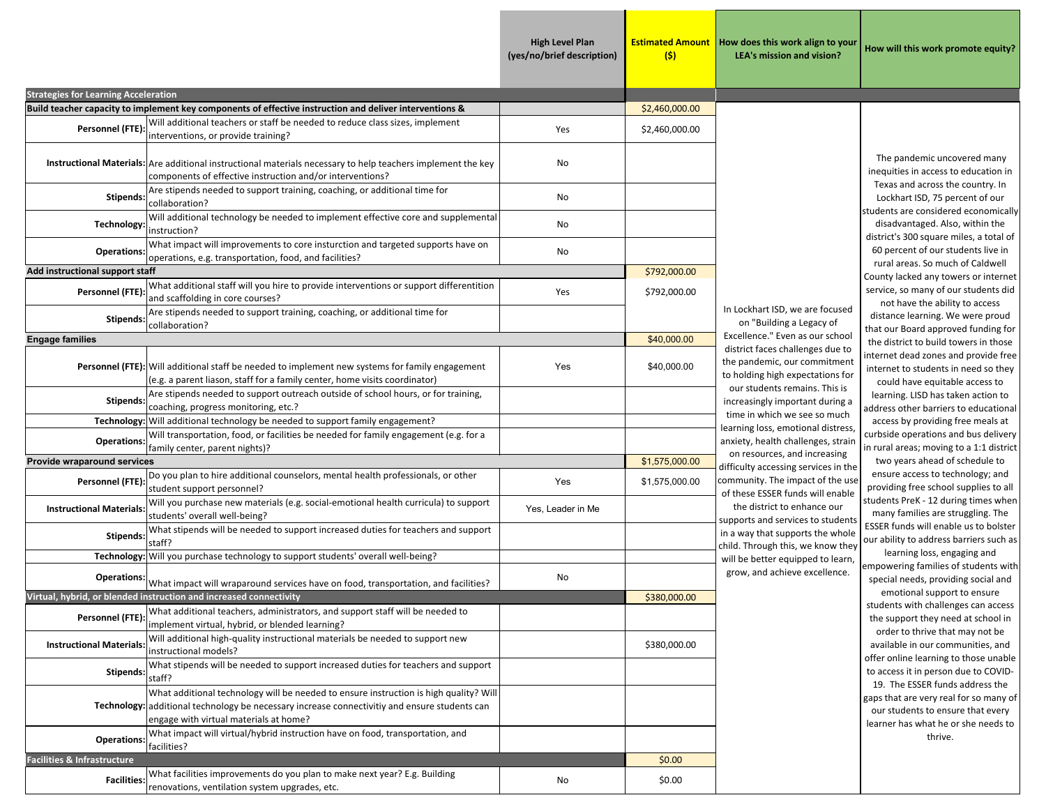**High Level Plan (yes/no/brief description)**

**Estimated AmountHow does this work align to your LEA's mission and vision?**

**(\$)**

**How will this work promote equity?**

| <b>Strategies for Learning Acceleration</b> |                                                                                                                                                                                                                                  |                   |                |                                                                                                              |
|---------------------------------------------|----------------------------------------------------------------------------------------------------------------------------------------------------------------------------------------------------------------------------------|-------------------|----------------|--------------------------------------------------------------------------------------------------------------|
|                                             | Build teacher capacity to implement key components of effective instruction and deliver interventions &                                                                                                                          |                   | \$2,460,000.00 |                                                                                                              |
| Personnel (FTE):                            | Will additional teachers or staff be needed to reduce class sizes, implement<br>interventions, or provide training?                                                                                                              | Yes               | \$2,460,000.00 |                                                                                                              |
|                                             | Instructional Materials: Are additional instructional materials necessary to help teachers implement the key<br>components of effective instruction and/or interventions?                                                        | No                |                |                                                                                                              |
| <b>Stipends:</b>                            | Are stipends needed to support training, coaching, or additional time for<br>collaboration?                                                                                                                                      | No                |                |                                                                                                              |
| Technology:                                 | Will additional technology be needed to implement effective core and supplemental<br>instruction?                                                                                                                                | No                |                |                                                                                                              |
| <b>Operations:</b>                          | What impact will improvements to core insturction and targeted supports have on<br>operations, e.g. transportation, food, and facilities?                                                                                        | No                |                |                                                                                                              |
| Add instructional support staff             |                                                                                                                                                                                                                                  |                   | \$792,000.00   |                                                                                                              |
| Personnel (FTE):                            | What additional staff will you hire to provide interventions or support differentition<br>and scaffolding in core courses?                                                                                                       | Yes               | \$792,000.00   |                                                                                                              |
| <b>Stipends:</b>                            | Are stipends needed to support training, coaching, or additional time for<br>collaboration?                                                                                                                                      |                   |                | In Lockhart ISD, we are focused<br>on "Building a Legacy of                                                  |
| <b>Engage families</b>                      |                                                                                                                                                                                                                                  |                   | \$40,000.00    | Excellence." Even as our school                                                                              |
|                                             | Personnel (FTE): Will additional staff be needed to implement new systems for family engagement<br>(e.g. a parent liason, staff for a family center, home visits coordinator)                                                    | Yes               | \$40,000.00    | district faces challenges due to<br>the pandemic, our commitment<br>to holding high expectations for         |
| <b>Stipends:</b>                            | Are stipends needed to support outreach outside of school hours, or for training,<br>coaching, progress monitoring, etc.?                                                                                                        |                   |                | our students remains. This is<br>increasingly important during a                                             |
|                                             | Technology: Will additional technology be needed to support family engagement?                                                                                                                                                   |                   |                | time in which we see so much<br>learning loss, emotional distress,<br>anxiety, health challenges, strain     |
| <b>Operations</b>                           | Will transportation, food, or facilities be needed for family engagement (e.g. for a<br>family center, parent nights)?                                                                                                           |                   |                |                                                                                                              |
| Provide wraparound services                 |                                                                                                                                                                                                                                  |                   | \$1,575,000.00 | on resources, and increasing                                                                                 |
| Personnel (FTE):                            | Do you plan to hire additional counselors, mental health professionals, or other<br>student support personnel?                                                                                                                   | Yes               | \$1,575,000.00 | difficulty accessing services in the<br>community. The impact of the use<br>of these ESSER funds will enable |
| <b>Instructional Materials:</b>             | Will you purchase new materials (e.g. social-emotional health curricula) to support<br>students' overall well-being?                                                                                                             | Yes, Leader in Me |                | the district to enhance our<br>supports and services to students                                             |
| <b>Stipends:</b>                            | What stipends will be needed to support increased duties for teachers and support<br>staff?                                                                                                                                      |                   |                | in a way that supports the whole<br>child. Through this, we know they                                        |
| Technology:                                 | Will you purchase technology to support students' overall well-being?                                                                                                                                                            |                   |                | will be better equipped to learn,                                                                            |
| <b>Operations:</b>                          | What impact will wraparound services have on food, transportation, and facilities?                                                                                                                                               | No                |                | grow, and achieve excellence.                                                                                |
|                                             | Virtual, hybrid, or blended instruction and increased connectivity                                                                                                                                                               |                   | \$380,000.00   |                                                                                                              |
| Personnel (FTE):                            | What additional teachers, administrators, and support staff will be needed to<br>implement virtual, hybrid, or blended learning?                                                                                                 |                   |                |                                                                                                              |
| <b>Instructional Materials:</b>             | Will additional high-quality instructional materials be needed to support new<br>instructional models?                                                                                                                           |                   | \$380,000.00   |                                                                                                              |
| <b>Stipends</b>                             | What stipends will be needed to support increased duties for teachers and support<br>staff?                                                                                                                                      |                   |                |                                                                                                              |
|                                             | What additional technology will be needed to ensure instruction is high quality? Will<br>Technology: additional technology be necessary increase connectivitiy and ensure students can<br>engage with virtual materials at home? |                   |                |                                                                                                              |
| <b>Operations:</b>                          | What impact will virtual/hybrid instruction have on food, transportation, and<br>facilities?                                                                                                                                     |                   |                |                                                                                                              |
| Facilities & Infrastructure                 |                                                                                                                                                                                                                                  |                   | \$0.00         |                                                                                                              |
| <b>Facilities:</b>                          | What facilities improvements do you plan to make next year? E.g. Building<br>renovations, ventilation system upgrades, etc.                                                                                                      | No                | \$0.00         |                                                                                                              |

 The pandemic uncovered many inequities in access to education in Texas and across the country. In Lockhart ISD, 75 percent of our students are considered economically disadvantaged. Also, within the district's 300 square miles, a total of 60 percent of our students live in rural areas. So much of Caldwell County lacked any towers or internet service, so many of our students did

not have the ability to access distance learning. We were proud that our Board approved funding for the district to build towers in those internet dead zones and provide free internet to students in need so they could have equitable access to learning. LISD has taken action to address other barriers to educational access by providing free meals at curbside operations and bus delivery in rural areas; moving to a 1:1 district two years ahead of schedule to

ensure access to technology; and providing free school supplies to all students PreK ‐ 12 during times when many families are struggling. The ESSER funds will enable us to bolster our ability to address barriers such as

learning loss, engaging and empowering families of students with special needs, providing social and emotional support to ensure students with challenges can access the support they need at school in order to thrive that may not be available in our communities, and offer online learning to those unable to access it in person due to COVID‐ 19. The ESSER funds address the

gaps that are very real for so many of our students to ensure that every learner has what he or she needs to thrive.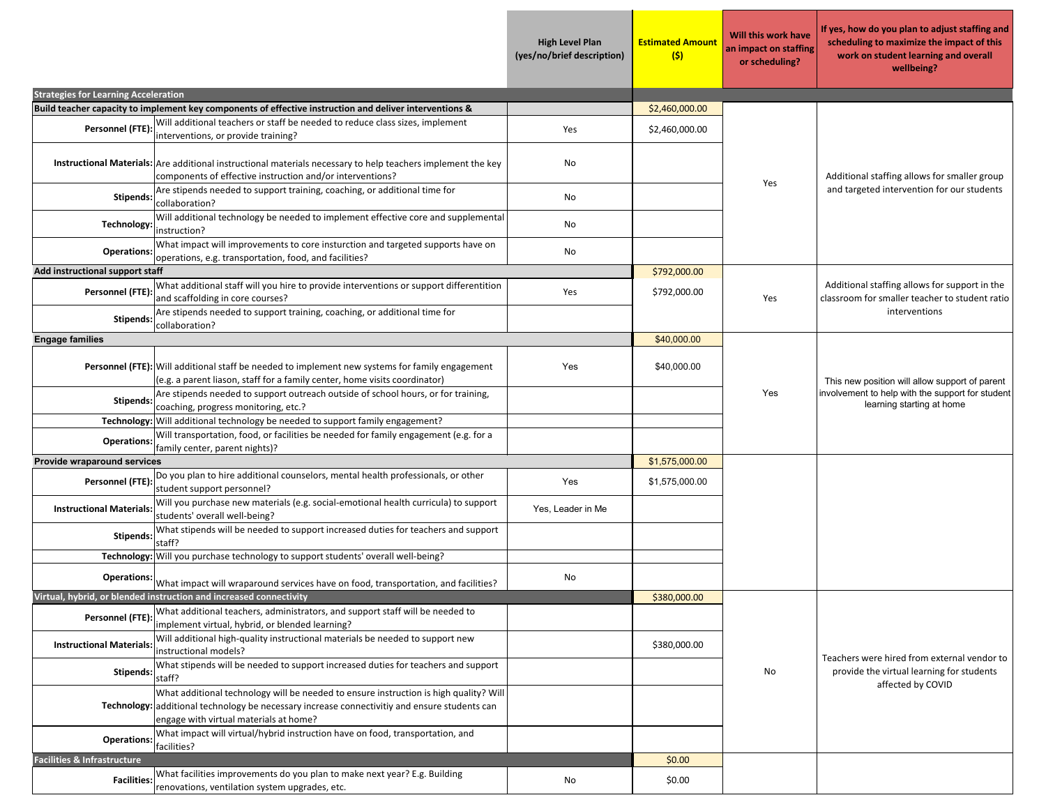|                                             |                                                                                                                                                                                                                                  | <b>High Level Plan</b><br>(yes/no/brief description) | <b>Estimated Amount</b><br>(s) | Will this work have<br>an impact on staffing<br>or scheduling? | If yes, how do you plan to adjust staffing and<br>scheduling to maximize the impact of this<br>work on student learning and overall<br>wellbeing? |
|---------------------------------------------|----------------------------------------------------------------------------------------------------------------------------------------------------------------------------------------------------------------------------------|------------------------------------------------------|--------------------------------|----------------------------------------------------------------|---------------------------------------------------------------------------------------------------------------------------------------------------|
| <b>Strategies for Learning Acceleration</b> |                                                                                                                                                                                                                                  |                                                      |                                |                                                                |                                                                                                                                                   |
|                                             | Build teacher capacity to implement key components of effective instruction and deliver interventions &                                                                                                                          |                                                      | \$2,460,000.00                 |                                                                |                                                                                                                                                   |
| Personnel (FTE)                             | Will additional teachers or staff be needed to reduce class sizes, implement<br>interventions, or provide training?                                                                                                              | Yes                                                  | \$2,460,000.00                 |                                                                | Additional staffing allows for smaller group<br>and targeted intervention for our students                                                        |
|                                             | Instructional Materials: Are additional instructional materials necessary to help teachers implement the key<br>components of effective instruction and/or interventions?                                                        | No                                                   |                                | Yes                                                            |                                                                                                                                                   |
| <b>Stipends:</b>                            | Are stipends needed to support training, coaching, or additional time for<br>collaboration?                                                                                                                                      | No                                                   |                                |                                                                |                                                                                                                                                   |
| Technology:                                 | Will additional technology be needed to implement effective core and supplemental<br>instruction?                                                                                                                                | No                                                   |                                |                                                                |                                                                                                                                                   |
| <b>Operations:</b>                          | What impact will improvements to core insturction and targeted supports have on<br>operations, e.g. transportation, food, and facilities?                                                                                        | No                                                   |                                |                                                                |                                                                                                                                                   |
| <b>Add instructional support staff</b>      |                                                                                                                                                                                                                                  |                                                      | \$792,000.00                   |                                                                |                                                                                                                                                   |
| Personnel (FTE)                             | What additional staff will you hire to provide interventions or support differentition<br>and scaffolding in core courses?                                                                                                       | Yes                                                  | \$792,000.00                   | Yes                                                            | Additional staffing allows for support in the<br>classroom for smaller teacher to student ratio                                                   |
| Stipends:                                   | Are stipends needed to support training, coaching, or additional time for<br>collaboration?                                                                                                                                      |                                                      |                                |                                                                | interventions                                                                                                                                     |
| <b>Engage families</b>                      |                                                                                                                                                                                                                                  |                                                      | \$40,000.00                    |                                                                |                                                                                                                                                   |
|                                             | <b>Personnel (FTE):</b> Will additional staff be needed to implement new systems for family engagement<br>(e.g. a parent liason, staff for a family center, home visits coordinator)                                             | Yes                                                  | \$40,000.00                    | Yes                                                            | This new position will allow support of parent                                                                                                    |
| Stipends:                                   | Are stipends needed to support outreach outside of school hours, or for training,<br>coaching, progress monitoring, etc.?                                                                                                        |                                                      |                                |                                                                | involvement to help with the support for student<br>learning starting at home                                                                     |
|                                             | Technology: Will additional technology be needed to support family engagement?                                                                                                                                                   |                                                      |                                |                                                                |                                                                                                                                                   |
| <b>Operations:</b>                          | Will transportation, food, or facilities be needed for family engagement (e.g. for a<br>family center, parent nights)?                                                                                                           |                                                      |                                |                                                                |                                                                                                                                                   |
| Provide wraparound services                 |                                                                                                                                                                                                                                  |                                                      | \$1,575,000.00                 |                                                                |                                                                                                                                                   |
| Personnel (FTE)                             | Do you plan to hire additional counselors, mental health professionals, or other<br>student support personnel?                                                                                                                   | Yes                                                  | \$1,575,000.00                 |                                                                |                                                                                                                                                   |
| <b>Instructional Materials:</b>             | Will you purchase new materials (e.g. social-emotional health curricula) to support<br>students' overall well-being?                                                                                                             | Yes, Leader in Me                                    |                                |                                                                |                                                                                                                                                   |
| <b>Stipends:</b>                            | What stipends will be needed to support increased duties for teachers and support<br>staff?                                                                                                                                      |                                                      |                                |                                                                |                                                                                                                                                   |
|                                             | Technology: Will you purchase technology to support students' overall well-being?                                                                                                                                                |                                                      |                                |                                                                |                                                                                                                                                   |
|                                             | Operations: What impact will wraparound services have on food, transportation, and facilities?                                                                                                                                   | No                                                   |                                |                                                                |                                                                                                                                                   |
|                                             | Virtual, hybrid, or blended instruction and increased connectivity                                                                                                                                                               |                                                      | \$380,000.00                   |                                                                |                                                                                                                                                   |
| Personnel (FTE):                            | What additional teachers, administrators, and support staff will be needed to<br>implement virtual, hybrid, or blended learning?                                                                                                 |                                                      |                                |                                                                |                                                                                                                                                   |
| <b>Instructional Materials</b>              | Will additional high-quality instructional materials be needed to support new<br>instructional models?                                                                                                                           |                                                      | \$380,000.00                   |                                                                | Teachers were hired from external vendor to                                                                                                       |
| <b>Stipends:</b>                            | What stipends will be needed to support increased duties for teachers and support<br>staff?                                                                                                                                      |                                                      |                                | No                                                             | provide the virtual learning for students<br>affected by COVID                                                                                    |
|                                             | What additional technology will be needed to ensure instruction is high quality? Will<br>Technology: additional technology be necessary increase connectivitiy and ensure students can<br>engage with virtual materials at home? |                                                      |                                |                                                                |                                                                                                                                                   |
| <b>Operations</b>                           | What impact will virtual/hybrid instruction have on food, transportation, and<br>facilities?                                                                                                                                     |                                                      |                                |                                                                |                                                                                                                                                   |
| <b>Facilities &amp; Infrastructure</b>      |                                                                                                                                                                                                                                  |                                                      | \$0.00                         |                                                                |                                                                                                                                                   |
| <b>Facilities:</b>                          | What facilities improvements do you plan to make next year? E.g. Building<br>renovations, ventilation system upgrades, etc.                                                                                                      | No                                                   | \$0.00                         |                                                                |                                                                                                                                                   |

 $\mathcal{L}_{\mathcal{A}}$